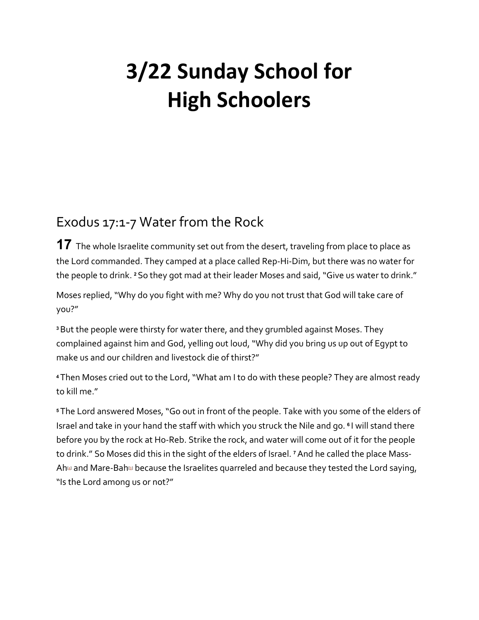## **3/22 Sunday School for High Schoolers**

## Exodus 17:1-7 Water from the Rock

**17** The whole Israelite community set out from the desert, traveling from place to place as the Lord commanded. They camped at a place called Rep-Hi-Dim, but there was no water for the people to drink. **<sup>2</sup>** So they got mad at their leader Moses and said, "Give us water to drink."

Moses replied, "Why do you fight with me? Why do you not trust that God will take care of you?"

**<sup>3</sup>**But the people were thirsty for water there, and they grumbled against Moses. They complained against him and God, yelling out loud, "Why did you bring us up out of Egypt to make us and our children and livestock die of thirst?"

**<sup>4</sup>** Then Moses cried out to the Lord, "What am I to do with these people? They are almost ready to kill me."

**<sup>5</sup>** The Lord answered Moses, "Go out in front of the people. Take with you some of the elders of Israel and take in your hand the staff with which you struck the Nile and go. **<sup>6</sup>** I will stand there before you by the rock at Ho-Reb. Strike the rock, and water will come out of it for the people to drink." So Moses did this in the sight of the elders of Israel. **<sup>7</sup>**And he called the place Mass-Ah $\omega$  and Mare-Bah $\omega$  because the Israelites quarreled and because they tested the Lord saying, "Is the Lord among us or not?"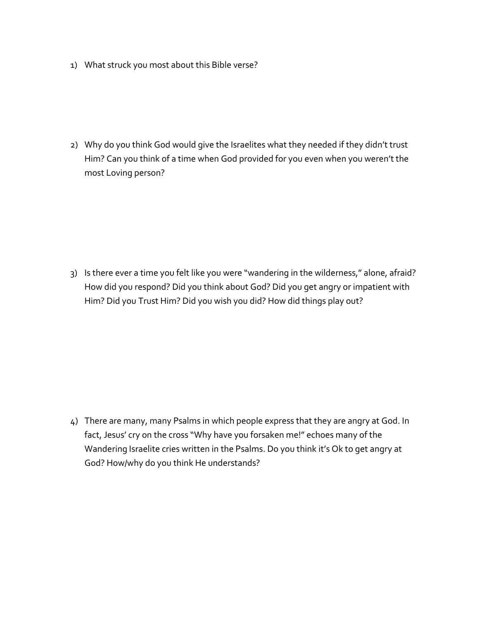1) What struck you most about this Bible verse?

2) Why do you think God would give the Israelites what they needed if they didn't trust Him? Can you think of a time when God provided for you even when you weren't the most Loving person?

3) Is there ever a time you felt like you were "wandering in the wilderness," alone, afraid? How did you respond? Did you think about God? Did you get angry or impatient with Him? Did you Trust Him? Did you wish you did? How did things play out?

4) There are many, many Psalms in which people express that they are angry at God. In fact, Jesus' cry on the cross "Why have you forsaken me!" echoes many of the Wandering Israelite cries written in the Psalms. Do you think it's Ok to get angry at God? How/why do you think He understands?